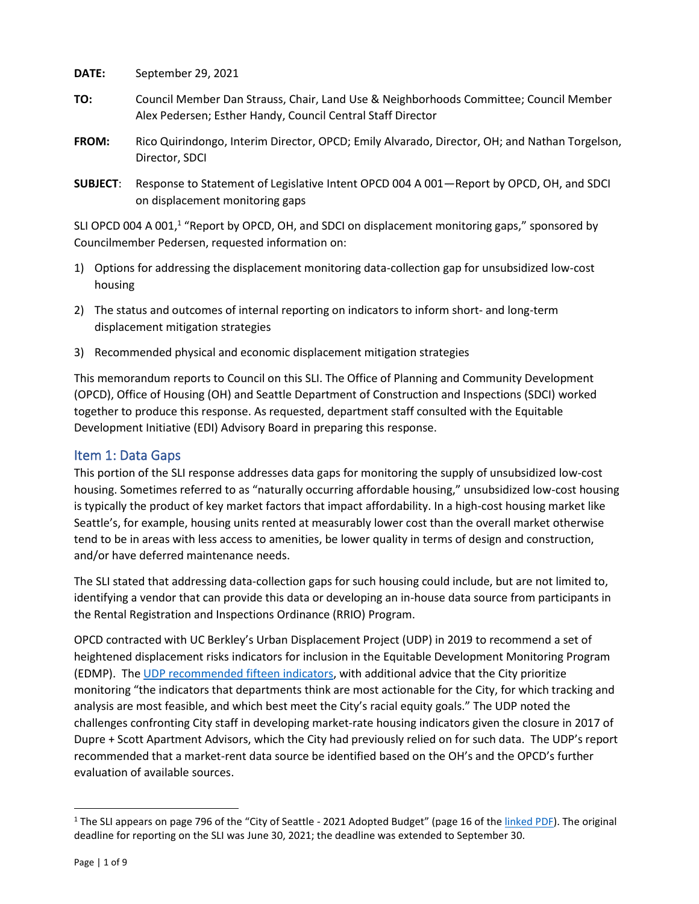**DATE:** September 29, 2021

- **TO:** Council Member Dan Strauss, Chair, Land Use & Neighborhoods Committee; Council Member Alex Pedersen; Esther Handy, Council Central Staff Director
- **FROM:** Rico Quirindongo, Interim Director, OPCD; Emily Alvarado, Director, OH; and Nathan Torgelson, Director, SDCI
- **SUBJECT**: Response to Statement of Legislative Intent OPCD 004 A 001—Report by OPCD, OH, and SDCI on displacement monitoring gaps

SLI OPCD 004 A 001,<sup>1</sup> "Report by OPCD, OH, and SDCI on displacement monitoring gaps," sponsored by Councilmember Pedersen, requested information on:

- 1) Options for addressing the displacement monitoring data-collection gap for unsubsidized low-cost housing
- 2) The status and outcomes of internal reporting on indicators to inform short- and long-term displacement mitigation strategies
- 3) Recommended physical and economic displacement mitigation strategies

This memorandum reports to Council on this SLI. The Office of Planning and Community Development (OPCD), Office of Housing (OH) and Seattle Department of Construction and Inspections (SDCI) worked together to produce this response. As requested, department staff consulted with the Equitable Development Initiative (EDI) Advisory Board in preparing this response.

## Item 1: Data Gaps

This portion of the SLI response addresses data gaps for monitoring the supply of unsubsidized low-cost housing. Sometimes referred to as "naturally occurring affordable housing," unsubsidized low-cost housing is typically the product of key market factors that impact affordability. In a high-cost housing market like Seattle's, for example, housing units rented at measurably lower cost than the overall market otherwise tend to be in areas with less access to amenities, be lower quality in terms of design and construction, and/or have deferred maintenance needs.

The SLI stated that addressing data-collection gaps for such housing could include, but are not limited to, identifying a vendor that can provide this data or developing an in-house data source from participants in the Rental Registration and Inspections Ordinance (RRIO) Program.

OPCD contracted with UC Berkley's Urban Displacement Project (UDP) in 2019 to recommend a set of heightened displacement risks indicators for inclusion in the Equitable Development Monitoring Program (EDMP). Th[e UDP recomme](https://seattlecitygis.maps.arcgis.com/sharing/rest/content/items/2d1cfe2cf76a4006bd75775ca9af5757/data)nded fifteen indicators, with additional advice that the City prioritize monitoring "the indicators that departments think are most actionable for the City, for which tracking and analysis are most feasible, and which best meet the City's racial equity goals." The UDP noted the challenges confronting City staff in developing market-rate housing indicators given the closure in 2017 of Dupre + Scott Apartment Advisors, which the City had previously relied on for such data. The UDP's report recommended that a market-rent data source be identified based on the OH's and the OPCD's further evaluation of available sources.

<sup>&</sup>lt;sup>1</sup> The SLI appears on page 796 of the "City of Seattle - 2021 Adopted Budget" (page 16 of the [linked PDF\)](https://www.seattle.gov/Documents/Departments/FinanceDepartment/21adoptedbudget/SLI.pdf). The original deadline for reporting on the SLI was June 30, 2021; the deadline was extended to September 30.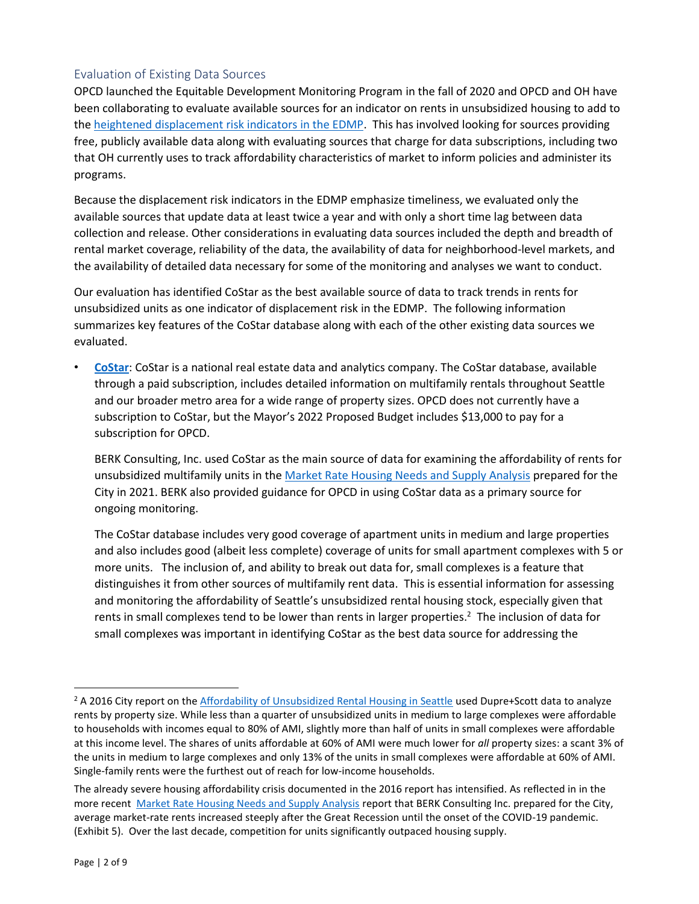## Evaluation of Existing Data Sources

OPCD launched the Equitable Development Monitoring Program in the fall of 2020 and OPCD and OH have been collaborating to evaluate available sources for an indicator on rents in unsubsidized housing to add to the [heightened displacement risk indicators in the EDMP.](https://population-and-demographics-seattlecitygis.hub.arcgis.com/pages/displacement-risk) This has involved looking for sources providing free, publicly available data along with evaluating sources that charge for data subscriptions, including two that OH currently uses to track affordability characteristics of market to inform policies and administer its programs.

Because the displacement risk indicators in the EDMP emphasize timeliness, we evaluated only the available sources that update data at least twice a year and with only a short time lag between data collection and release. Other considerations in evaluating data sources included the depth and breadth of rental market coverage, reliability of the data, the availability of data for neighborhood-level markets, and the availability of detailed data necessary for some of the monitoring and analyses we want to conduct.

Our evaluation has identified CoStar as the best available source of data to track trends in rents for unsubsidized units as one indicator of displacement risk in the EDMP. The following information summarizes key features of the CoStar database along with each of the other existing data sources we evaluated.

• **[CoStar](https://www.costar.com/costar-suite)**: CoStar is a national real estate data and analytics company. The CoStar database, available through a paid subscription, includes detailed information on multifamily rentals throughout Seattle and our broader metro area for a wide range of property sizes. OPCD does not currently have a subscription to CoStar, but the Mayor's 2022 Proposed Budget includes \$13,000 to pay for a subscription for OPCD.

BERK Consulting, Inc. used CoStar as the main source of data for examining the affordability of rents for unsubsidized multifamily units in th[e Market Rate Housing Needs and Supply Analysis](https://www.seattle.gov/Documents/Departments/OPCD/OngoingInitiatives/HousingChoices/SeattleMarketRateHousingNeedsAndSupplyAnalysis2021.pdf) prepared for the City in 2021. BERK also provided guidance for OPCD in using CoStar data as a primary source for ongoing monitoring.

The CoStar database includes very good coverage of apartment units in medium and large properties and also includes good (albeit less complete) coverage of units for small apartment complexes with 5 or more units. The inclusion of, and ability to break out data for, small complexes is a feature that distinguishes it from other sources of multifamily rent data. This is essential information for assessing and monitoring the affordability of Seattle's unsubsidized rental housing stock, especially given that rents in small complexes tend to be lower than rents in larger properties.<sup>2</sup> The inclusion of data for small complexes was important in identifying CoStar as the best data source for addressing the

<sup>&</sup>lt;sup>2</sup> A 2016 City report on th[e Affordability of Unsubsidized Rental Housing in Seattle](https://www.seattle.gov/Documents/Departments/OPCD/Demographics/AboutSeattle/2016UnsubsidizedHousingMonitoringReport.pdf) used Dupre+Scott data to analyze rents by property size. While less than a quarter of unsubsidized units in medium to large complexes were affordable to households with incomes equal to 80% of AMI, slightly more than half of units in small complexes were affordable at this income level. The shares of units affordable at 60% of AMI were much lower for *all* property sizes: a scant 3% of the units in medium to large complexes and only 13% of the units in small complexes were affordable at 60% of AMI. Single-family rents were the furthest out of reach for low-income households.

The already severe housing affordability crisis documented in the 2016 report has intensified. As reflected in in the more recent [Market Rate Housing Needs and Supply Analysis](https://www.seattle.gov/Documents/Departments/OPCD/OngoingInitiatives/HousingChoices/SeattleMarketRateHousingNeedsAndSupplyAnalysis2021.pdf#page=13) report that BERK Consulting Inc. prepared for the City, average market-rate rents increased steeply after the Great Recession until the onset of the COVID-19 pandemic. (Exhibit 5). Over the last decade, competition for units significantly outpaced housing supply.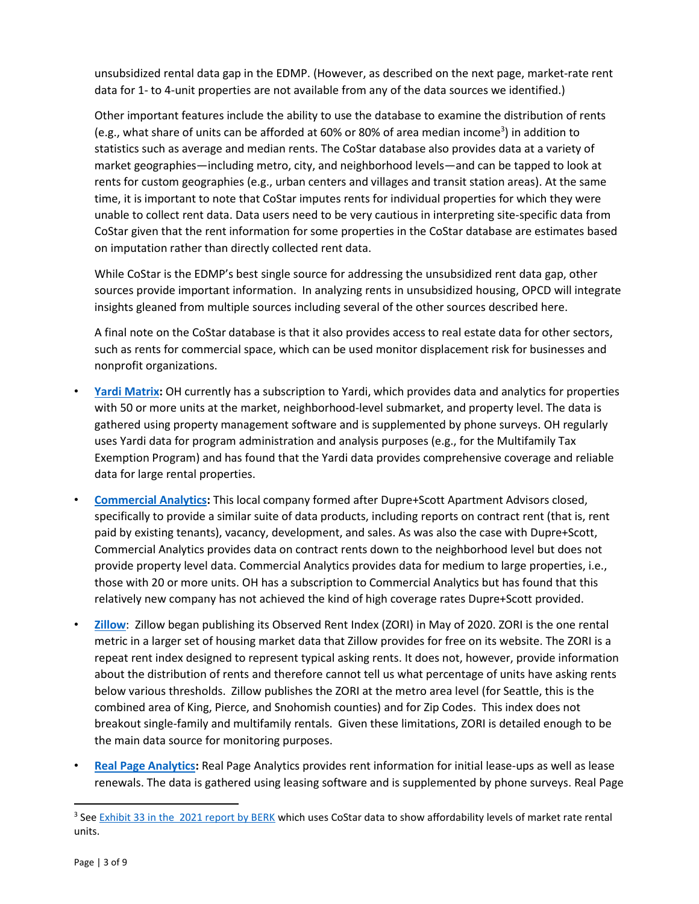unsubsidized rental data gap in the EDMP. (However, as described on the next page, market-rate rent data for 1- to 4-unit properties are not available from any of the data sources we identified.)

Other important features include the ability to use the database to examine the distribution of rents (e.g., what share of units can be afforded at 60% or 80% of area median income<sup>3</sup>) in addition to statistics such as average and median rents. The CoStar database also provides data at a variety of market geographies—including metro, city, and neighborhood levels—and can be tapped to look at rents for custom geographies (e.g., urban centers and villages and transit station areas). At the same time, it is important to note that CoStar imputes rents for individual properties for which they were unable to collect rent data. Data users need to be very cautious in interpreting site-specific data from CoStar given that the rent information for some properties in the CoStar database are estimates based on imputation rather than directly collected rent data.

While CoStar is the EDMP's best single source for addressing the unsubsidized rent data gap, other sources provide important information. In analyzing rents in unsubsidized housing, OPCD will integrate insights gleaned from multiple sources including several of the other sources described here.

A final note on the CoStar database is that it also provides access to real estate data for other sectors, such as rents for commercial space, which can be used monitor displacement risk for businesses and nonprofit organizations.

- **[Yardi Matrix:](https://www.yardimatrix.com/)** OH currently has a subscription to Yardi, which provides data and analytics for properties with 50 or more units at the market, neighborhood-level submarket, and property level. The data is gathered using property management software and is supplemented by phone surveys. OH regularly uses Yardi data for program administration and analysis purposes (e.g., for the Multifamily Tax Exemption Program) and has found that the Yardi data provides comprehensive coverage and reliable data for large rental properties.
- **[Commercial Analytics:](https://www.commercial-analytics.com/)** This local company formed after Dupre+Scott Apartment Advisors closed, specifically to provide a similar suite of data products, including reports on contract rent (that is, rent paid by existing tenants), vacancy, development, and sales. As was also the case with Dupre+Scott, Commercial Analytics provides data on contract rents down to the neighborhood level but does not provide property level data. Commercial Analytics provides data for medium to large properties, i.e., those with 20 or more units. OH has a subscription to Commercial Analytics but has found that this relatively new company has not achieved the kind of high coverage rates Dupre+Scott provided.
- **[Zillow](https://www.zillow.com/research/methodology-zori-repeat-rent-27092/)**: Zillow began publishing its Observed Rent Index (ZORI) in May of 2020. ZORI is the one rental metric in a larger set of housing market data that Zillow provides for free on its website. The ZORI is a repeat rent index designed to represent typical asking rents. It does not, however, provide information about the distribution of rents and therefore cannot tell us what percentage of units have asking rents below various thresholds. Zillow publishes the ZORI at the metro area level (for Seattle, this is the combined area of King, Pierce, and Snohomish counties) and for Zip Codes. This index does not breakout single-family and multifamily rentals. Given these limitations, ZORI is detailed enough to be the main data source for monitoring purposes.
- **[Real Page Analytics:](https://www.realpage.com/analytics/)** Real Page Analytics provides rent information for initial lease-ups as well as lease renewals. The data is gathered using leasing software and is supplemented by phone surveys. Real Page

<sup>&</sup>lt;sup>3</sup> See [Exhibit 33 in the 2021 report by BERK](https://www.seattle.gov/Documents/Departments/OPCD/OngoingInitiatives/HousingChoices/SeattleMarketRateHousingNeedsAndSupplyAnalysis2021.pdf#page=43) which uses CoStar data to show affordability levels of market rate rental units.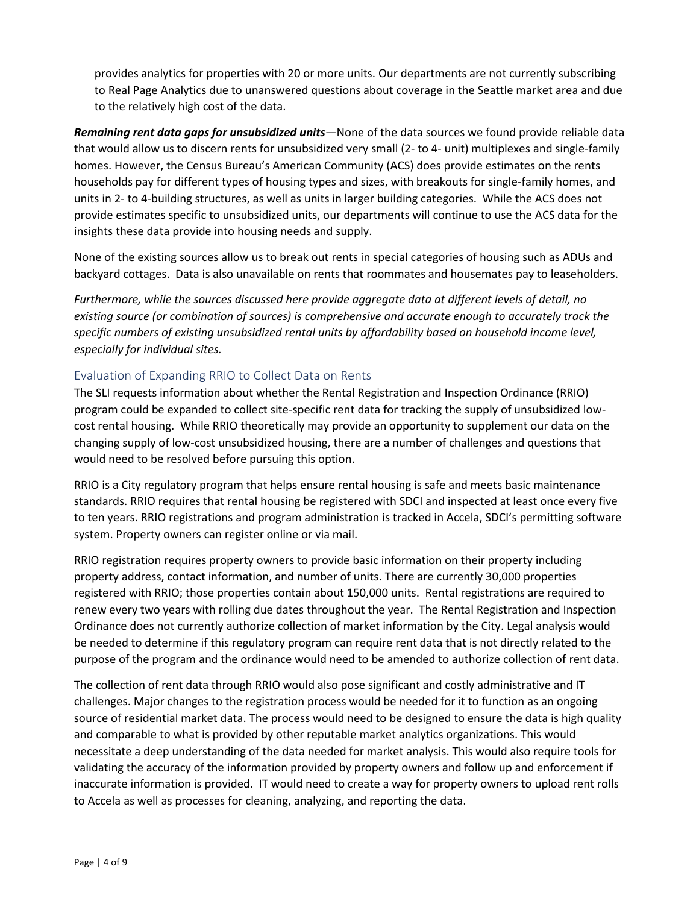provides analytics for properties with 20 or more units. Our departments are not currently subscribing to Real Page Analytics due to unanswered questions about coverage in the Seattle market area and due to the relatively high cost of the data.

*Remaining rent data gaps for unsubsidized units*—None of the data sources we found provide reliable data that would allow us to discern rents for unsubsidized very small (2- to 4- unit) multiplexes and single-family homes. However, the Census Bureau's American Community (ACS) does provide estimates on the rents households pay for different types of housing types and sizes, with breakouts for single-family homes, and units in 2- to 4-building structures, as well as units in larger building categories. While the ACS does not provide estimates specific to unsubsidized units, our departments will continue to use the ACS data for the insights these data provide into housing needs and supply.

None of the existing sources allow us to break out rents in special categories of housing such as ADUs and backyard cottages. Data is also unavailable on rents that roommates and housemates pay to leaseholders.

*Furthermore, while the sources discussed here provide aggregate data at different levels of detail, no existing source (or combination of sources) is comprehensive and accurate enough to accurately track the specific numbers of existing unsubsidized rental units by affordability based on household income level, especially for individual sites.*

## Evaluation of Expanding RRIO to Collect Data on Rents

The SLI requests information about whether the Rental Registration and Inspection Ordinance (RRIO) program could be expanded to collect site-specific rent data for tracking the supply of unsubsidized lowcost rental housing. While RRIO theoretically may provide an opportunity to supplement our data on the changing supply of low-cost unsubsidized housing, there are a number of challenges and questions that would need to be resolved before pursuing this option.

RRIO is a City regulatory program that helps ensure rental housing is safe and meets basic maintenance standards. RRIO requires that rental housing be registered with SDCI and inspected at least once every five to ten years. RRIO registrations and program administration is tracked in Accela, SDCI's permitting software system. Property owners can register online or via mail.

RRIO registration requires property owners to provide basic information on their property including property address, contact information, and number of units. There are currently 30,000 properties registered with RRIO; those properties contain about 150,000 units. Rental registrations are required to renew every two years with rolling due dates throughout the year. The Rental Registration and Inspection Ordinance does not currently authorize collection of market information by the City. Legal analysis would be needed to determine if this regulatory program can require rent data that is not directly related to the purpose of the program and the ordinance would need to be amended to authorize collection of rent data.

The collection of rent data through RRIO would also pose significant and costly administrative and IT challenges. Major changes to the registration process would be needed for it to function as an ongoing source of residential market data. The process would need to be designed to ensure the data is high quality and comparable to what is provided by other reputable market analytics organizations. This would necessitate a deep understanding of the data needed for market analysis. This would also require tools for validating the accuracy of the information provided by property owners and follow up and enforcement if inaccurate information is provided. IT would need to create a way for property owners to upload rent rolls to Accela as well as processes for cleaning, analyzing, and reporting the data.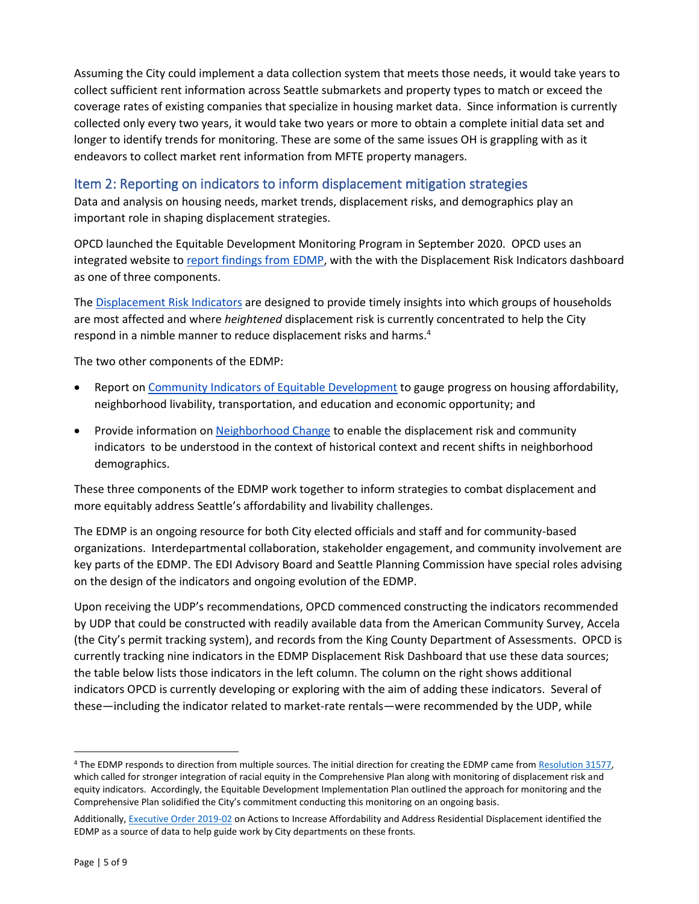Assuming the City could implement a data collection system that meets those needs, it would take years to collect sufficient rent information across Seattle submarkets and property types to match or exceed the coverage rates of existing companies that specialize in housing market data. Since information is currently collected only every two years, it would take two years or more to obtain a complete initial data set and longer to identify trends for monitoring. These are some of the same issues OH is grappling with as it endeavors to collect market rent information from MFTE property managers.

# Item 2: Reporting on indicators to inform displacement mitigation strategies

Data and analysis on housing needs, market trends, displacement risks, and demographics play an important role in shaping displacement strategies.

OPCD launched the Equitable Development Monitoring Program in September 2020. OPCD uses an integrated website t[o report findings from EDMP,](https://population-and-demographics-seattlecitygis.hub.arcgis.com/pages/indicator-projects) with the with the Displacement Risk Indicators dashboard as one of three components.

The [Displacement Risk](https://population-and-demographics-seattlecitygis.hub.arcgis.com/pages/displacement-risk) Indicators are designed to provide timely insights into which groups of households are most affected and where *heightened* displacement risk is currently concentrated to help the City respond in a nimble manner to reduce displacement risks and harms.<sup>4</sup>

The two other components of the EDMP:

- Report on [Community Indicators of Equitable Development](https://www.seattle.gov/Documents/Departments/OPCD/Demographics/CommunityIndicatorsReport2020.pdf) to gauge progress on housing affordability, neighborhood livability, transportation, and education and economic opportunity; and
- Provide information on [Neighborhood Change](https://population-and-demographics-seattlecitygis.hub.arcgis.com/pages/neighborhood-change) to enable the displacement risk and community indicators to be understood in the context of historical context and recent shifts in neighborhood demographics.

These three components of the EDMP work together to inform strategies to combat displacement and more equitably address Seattle's affordability and livability challenges.

The EDMP is an ongoing resource for both City elected officials and staff and for community-based organizations. Interdepartmental collaboration, stakeholder engagement, and community involvement are key parts of the EDMP. The EDI Advisory Board and Seattle Planning Commission have special roles advising on the design of the indicators and ongoing evolution of the EDMP.

Upon receiving the UDP's recommendations, OPCD commenced constructing the indicators recommended by UDP that could be constructed with readily available data from the American Community Survey, Accela (the City's permit tracking system), and records from the King County Department of Assessments. OPCD is currently tracking nine indicators in the EDMP Displacement Risk Dashboard that use these data sources; the table below lists those indicators in the left column. The column on the right shows additional indicators OPCD is currently developing or exploring with the aim of adding these indicators. Several of these—including the indicator related to market-rate rentals—were recommended by the UDP, while

<sup>4</sup> The EDMP responds to direction from multiple sources. The initial direction for creating the EDMP came from [Resolution 31577,](http://clerk.seattle.gov/search/resolutions/31577) which called for stronger integration of racial equity in the Comprehensive Plan along with monitoring of displacement risk and equity indicators. Accordingly, the Equitable Development Implementation Plan outlined the approach for monitoring and the Comprehensive Plan solidified the City's commitment conducting this monitoring on an ongoing basis.

Additionally, [Executive Order 2019-02](https://durkan.seattle.gov/wp-content/uploads/sites/9/2019/02/2019-02-20-Executive-Order-2019-02-Affordability-and-Anti-displacement.pdf) on Actions to Increase Affordability and Address Residential Displacement identified the EDMP as a source of data to help guide work by City departments on these fronts.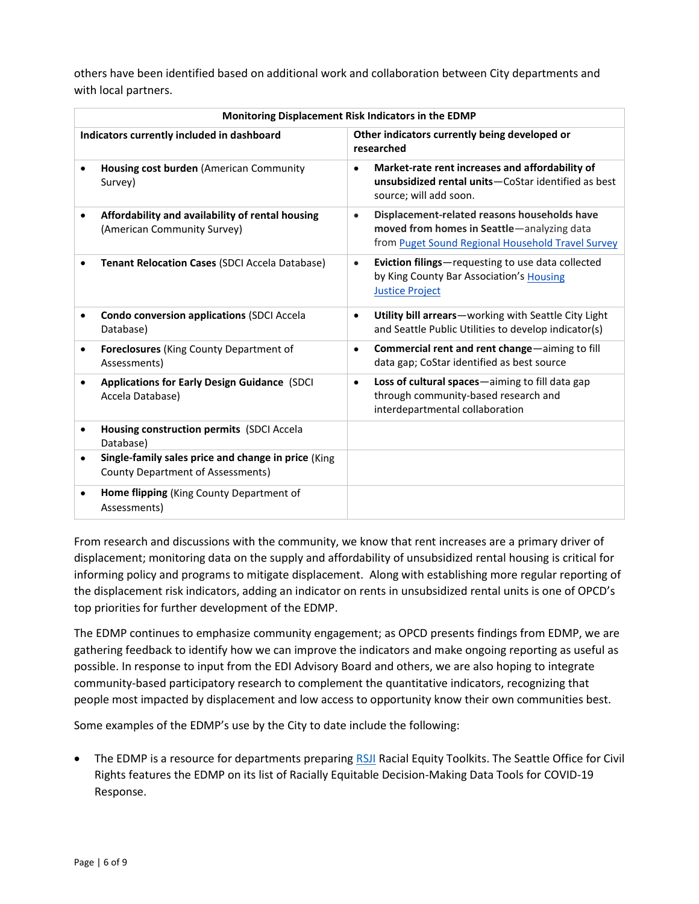others have been identified based on additional work and collaboration between City departments and with local partners.

| Monitoring Displacement Risk Indicators in the EDMP |                                                                                                 |                                                                                                                            |                                                      |
|-----------------------------------------------------|-------------------------------------------------------------------------------------------------|----------------------------------------------------------------------------------------------------------------------------|------------------------------------------------------|
| Indicators currently included in dashboard          |                                                                                                 | Other indicators currently being developed or<br>researched                                                                |                                                      |
| $\bullet$                                           | Housing cost burden (American Community<br>Survey)                                              | Market-rate rent increases and affordability of<br>source; will add soon.                                                  | unsubsidized rental units-CoStar identified as best  |
|                                                     | Affordability and availability of rental housing<br>(American Community Survey)                 | Displacement-related reasons households have<br>moved from homes in Seattle-analyzing data                                 | from Puget Sound Regional Household Travel Survey    |
|                                                     | <b>Tenant Relocation Cases (SDCI Accela Database)</b>                                           | Eviction filings-requesting to use data collected<br>by King County Bar Association's Housing<br><b>Justice Project</b>    |                                                      |
| ٠                                                   | <b>Condo conversion applications (SDCI Accela</b><br>Database)                                  | and Seattle Public Utilities to develop indicator(s)                                                                       | Utility bill arrears-working with Seattle City Light |
| $\bullet$                                           | <b>Foreclosures</b> (King County Department of<br>Assessments)                                  | Commercial rent and rent change-aiming to fill<br>data gap; CoStar identified as best source                               |                                                      |
| ٠                                                   | <b>Applications for Early Design Guidance (SDCI</b><br>Accela Database)                         | Loss of cultural spaces-aiming to fill data gap<br>through community-based research and<br>interdepartmental collaboration |                                                      |
| $\bullet$                                           | Housing construction permits (SDCI Accela<br>Database)                                          |                                                                                                                            |                                                      |
|                                                     | Single-family sales price and change in price (King<br><b>County Department of Assessments)</b> |                                                                                                                            |                                                      |
| ٠                                                   | <b>Home flipping</b> (King County Department of<br>Assessments)                                 |                                                                                                                            |                                                      |

From research and discussions with the community, we know that rent increases are a primary driver of displacement; monitoring data on the supply and affordability of unsubsidized rental housing is critical for informing policy and programs to mitigate displacement. Along with establishing more regular reporting of the displacement risk indicators, adding an indicator on rents in unsubsidized rental units is one of OPCD's top priorities for further development of the EDMP.

The EDMP continues to emphasize community engagement; as OPCD presents findings from EDMP, we are gathering feedback to identify how we can improve the indicators and make ongoing reporting as useful as possible. In response to input from the EDI Advisory Board and others, we are also hoping to integrate community-based participatory research to complement the quantitative indicators, recognizing that people most impacted by displacement and low access to opportunity know their own communities best.

Some examples of the EDMP's use by the City to date include the following:

• The EDMP is a resource for departments preparing [RSJI](https://www.seattle.gov/rsji/resources) Racial Equity Toolkits. The Seattle Office for Civil Rights features the EDMP on its list of Racially Equitable Decision-Making Data Tools for COVID-19 Response.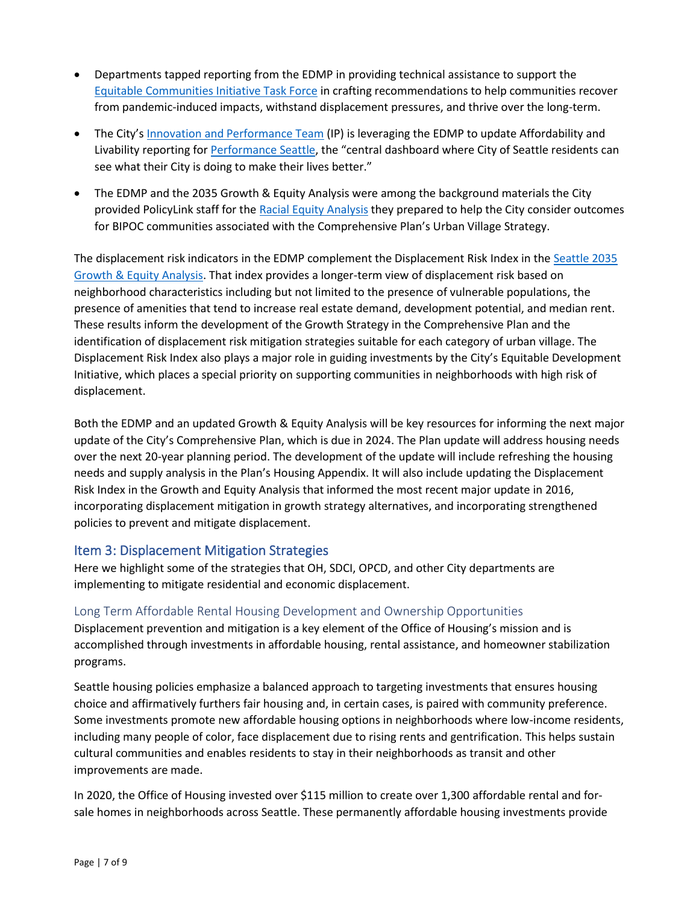- Departments tapped reporting from the EDMP in providing technical assistance to support the [Equitable Communities Initiative Task Force](http://www.seattle.gov/equitable-communities-initiative/background) in crafting recommendations to help communities recover from pandemic-induced impacts, withstand displacement pressures, and thrive over the long-term.
- The City's [Innovation and Performance Team](https://www.seattle.gov/innovation-performance) (IP) is leveraging the EDMP to update Affordability and Livability reporting fo[r Performance Seattle](https://performance.seattle.gov/stories/s/596j-asv2), the "central dashboard where City of Seattle residents can see what their City is doing to make their lives better."
- The EDMP and the 2035 Growth & Equity Analysis were among the background materials the City provided PolicyLink staff for the [Racial Equity Analysis](https://seattle.legistar.com/View.ashx?M=F&ID=9611821&GUID=81FE334E-2E8E-4EDE-8CD1-4EB80458233E) they prepared to help the City consider outcomes for BIPOC communities associated with the Comprehensive Plan's Urban Village Strategy.

The displacement risk indicators in the EDMP complement the Displacement Risk Index in the [Seattle 2035](http://www.seattle.gov/documents/departments/opcd/ongoinginitiatives/seattlescomprehensiveplan/finalgrowthandequityanalysis.pdf)  [Growth & Equity Analysis.](http://www.seattle.gov/documents/departments/opcd/ongoinginitiatives/seattlescomprehensiveplan/finalgrowthandequityanalysis.pdf) That index provides a longer-term view of displacement risk based on neighborhood characteristics including but not limited to the presence of vulnerable populations, the presence of amenities that tend to increase real estate demand, development potential, and median rent. These results inform the development of the Growth Strategy in the Comprehensive Plan and the identification of displacement risk mitigation strategies suitable for each category of urban village. The Displacement Risk Index also plays a major role in guiding investments by the City's Equitable Development Initiative, which places a special priority on supporting communities in neighborhoods with high risk of displacement.

Both the EDMP and an updated Growth & Equity Analysis will be key resources for informing the next major update of the City's Comprehensive Plan, which is due in 2024. The Plan update will address housing needs over the next 20-year planning period. The development of the update will include refreshing the housing needs and supply analysis in the Plan's Housing Appendix. It will also include updating the Displacement Risk Index in the Growth and Equity Analysis that informed the most recent major update in 2016, incorporating displacement mitigation in growth strategy alternatives, and incorporating strengthened policies to prevent and mitigate displacement.

## Item 3: Displacement Mitigation Strategies

Here we highlight some of the strategies that OH, SDCI, OPCD, and other City departments are implementing to mitigate residential and economic displacement.

## Long Term Affordable Rental Housing Development and Ownership Opportunities

Displacement prevention and mitigation is a key element of the Office of Housing's mission and is accomplished through investments in affordable housing, rental assistance, and homeowner stabilization programs.

Seattle housing policies emphasize a balanced approach to targeting investments that ensures housing choice and affirmatively furthers fair housing and, in certain cases, is paired with community preference. Some investments promote new affordable housing options in neighborhoods where low-income residents, including many people of color, face displacement due to rising rents and gentrification. This helps sustain cultural communities and enables residents to stay in their neighborhoods as transit and other improvements are made.

In 2020, the Office of Housing invested over \$115 million to create over 1,300 affordable rental and forsale homes in neighborhoods across Seattle. These permanently affordable housing investments provide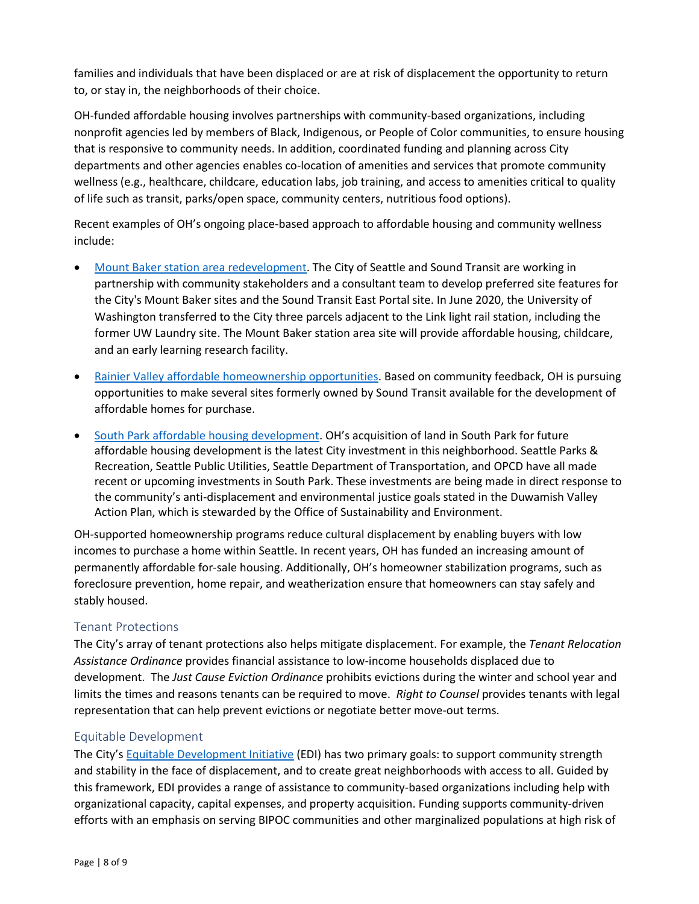families and individuals that have been displaced or are at risk of displacement the opportunity to return to, or stay in, the neighborhoods of their choice.

OH-funded affordable housing involves partnerships with community-based organizations, including nonprofit agencies led by members of Black, Indigenous, or People of Color communities, to ensure housing that is responsive to community needs. In addition, coordinated funding and planning across City departments and other agencies enables co-location of amenities and services that promote community wellness (e.g., healthcare, childcare, education labs, job training, and access to amenities critical to quality of life such as transit, parks/open space, community centers, nutritious food options).

Recent examples of OH's ongoing place-based approach to affordable housing and community wellness include:

- [Mount Baker station area redevelopment.](https://www.seattle.gov/housing/programs-and-initiatives/mt-baker-station-area-development) The City of Seattle and Sound Transit are working in partnership with community stakeholders and a consultant team to develop preferred site features for the City's Mount Baker sites and the Sound Transit East Portal site. In June 2020, the University of Washington transferred to the City three parcels adjacent to the Link light rail station, including the former UW Laundry site. The Mount Baker station area site will provide affordable housing, childcare, and an early learning research facility.
- [Rainier Valley affordable homeownership opportunities.](https://www.soundtransit.org/system-expansion/creating-vibrant-stations/transit-oriented-development/rainier-valley) Based on community feedback, OH is pursuing opportunities to make several sites formerly owned by Sound Transit available for the development of affordable homes for purchase.
- [South Park affordable housing development.](https://durkan.seattle.gov/2021/07/mayor-durkan-applauds-city-councils-unanimous-passage-of-legislation-to-authorize-acquisition-of-land-in-south-park-for-affordable-housing/) OH's acquisition of land in South Park for future affordable housing development is the latest City investment in this neighborhood. Seattle Parks & Recreation, Seattle Public Utilities, Seattle Department of Transportation, and OPCD have all made recent or upcoming investments in South Park. These investments are being made in direct response to the community's anti-displacement and environmental justice goals stated in the Duwamish Valley Action Plan, which is stewarded by the Office of Sustainability and Environment.

OH-supported homeownership programs reduce cultural displacement by enabling buyers with low incomes to purchase a home within Seattle. In recent years, OH has funded an increasing amount of permanently affordable for-sale housing. Additionally, OH's homeowner stabilization programs, such as foreclosure prevention, home repair, and weatherization ensure that homeowners can stay safely and stably housed.

## Tenant Protections

The City's array of tenant protections also helps mitigate displacement. For example, the *Tenant Relocation Assistance Ordinance* provides financial assistance to low-income households displaced due to development. The *Just Cause Eviction Ordinance* prohibits evictions during the winter and school year and limits the times and reasons tenants can be required to move. *Right to Counsel* provides tenants with legal representation that can help prevent evictions or negotiate better move-out terms.

#### Equitable Development

The City's [Equitable Development Initiative](https://www.seattle.gov/opcd/ongoing-initiatives/equitable-development-initiative) (EDI) has two primary goals: to support community strength and stability in the face of displacement, and to create great neighborhoods with access to all. Guided by this framework, EDI provides a range of assistance to community-based organizations including help with organizational capacity, capital expenses, and property acquisition. Funding supports community-driven efforts with an emphasis on serving BIPOC communities and other marginalized populations at high risk of